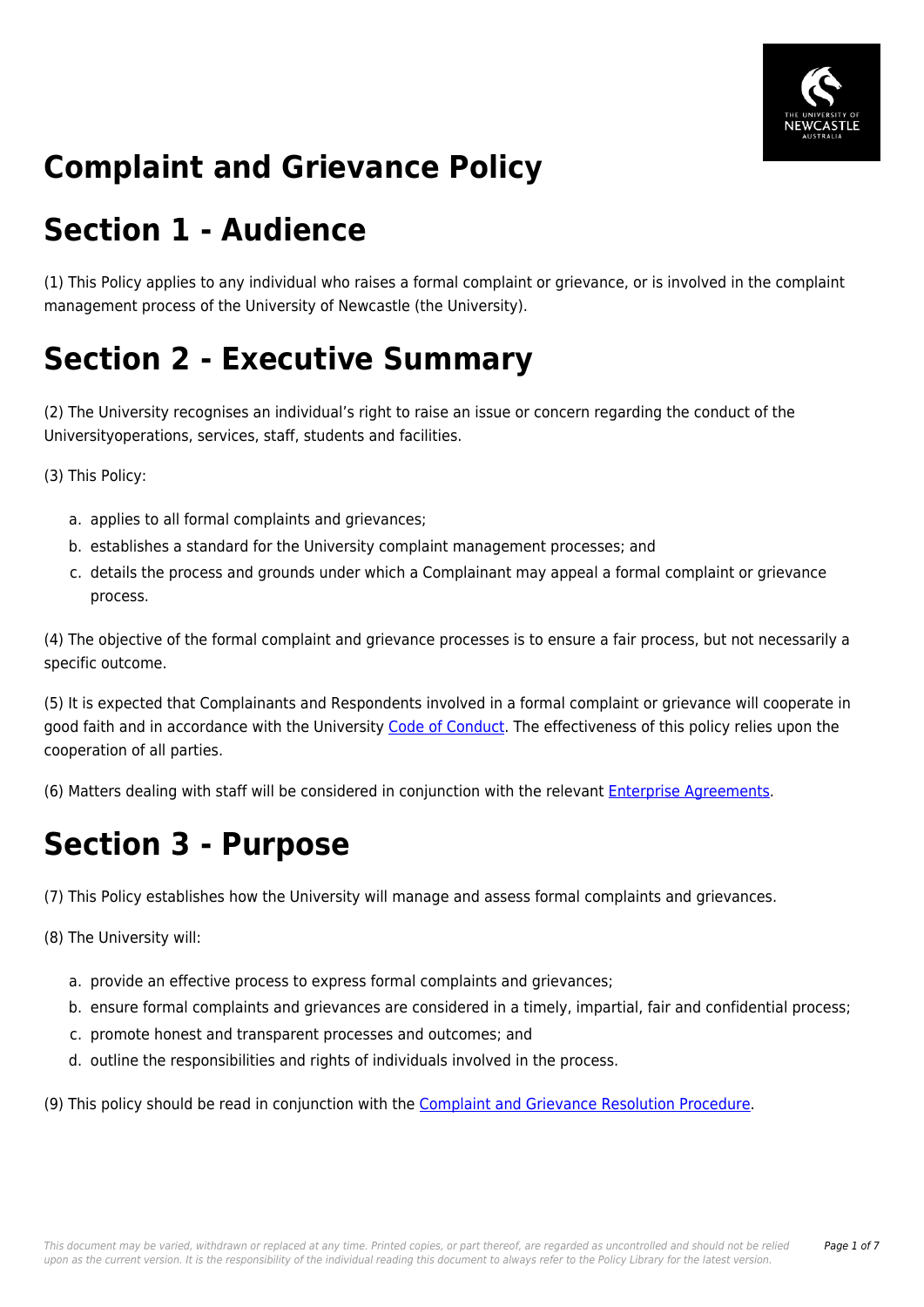

# **Complaint and Grievance Policy**

# **Section 1 - Audience**

(1) This Policy applies to any individual who raises a formal complaint or grievance, or is involved in the complaint management process of the University of Newcastle (the University).

# **Section 2 - Executive Summary**

(2) The University recognises an individual's right to raise an issue or concern regarding the conduct of the Universityoperations, services, staff, students and facilities.

(3) This Policy:

- a. applies to all formal complaints and grievances;
- b. establishes a standard for the University complaint management processes; and
- c. details the process and grounds under which a Complainant may appeal a formal complaint or grievance process.

(4) The objective of the formal complaint and grievance processes is to ensure a fair process, but not necessarily a specific outcome.

(5) It is expected that Complainants and Respondents involved in a formal complaint or grievance will cooperate in good faith and in accordance with the University [Code of Conduct](https://policies.newcastle.edu.au/document/view-current.php?id=204). The effectiveness of this policy relies upon the cooperation of all parties.

(6) Matters dealing with staff will be considered in conjunction with the relevant [Enterprise Agreements](http://policies.newcastle.edu.au/download.php?id=32&version=1&associated).

### **Section 3 - Purpose**

(7) This Policy establishes how the University will manage and assess formal complaints and grievances.

(8) The University will:

- a. provide an effective process to express formal complaints and grievances;
- b. ensure formal complaints and grievances are considered in a timely, impartial, fair and confidential process;
- c. promote honest and transparent processes and outcomes; and
- d. outline the responsibilities and rights of individuals involved in the process.

(9) This policy should be read in conjunction with the [Complaint and Grievance Resolution Procedure.](https://policies.newcastle.edu.au/document/view-current.php?id=197)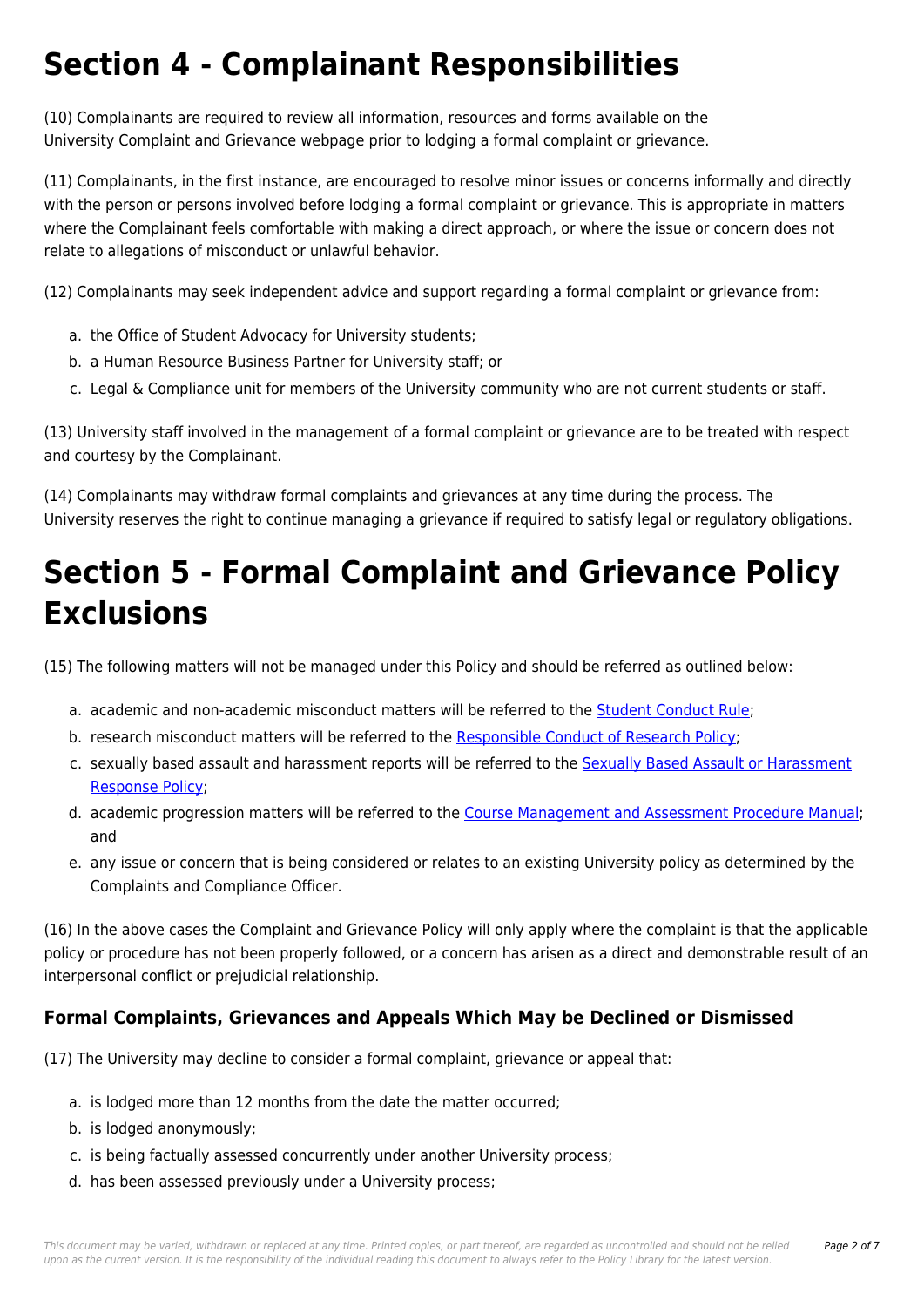# **Section 4 - Complainant Responsibilities**

(10) Complainants are required to review all information, resources and forms available on the University Complaint and Grievance webpage prior to lodging a formal complaint or grievance.

(11) Complainants, in the first instance, are encouraged to resolve minor issues or concerns informally and directly with the person or persons involved before lodging a formal complaint or grievance. This is appropriate in matters where the Complainant feels comfortable with making a direct approach, or where the issue or concern does not relate to allegations of misconduct or unlawful behavior.

(12) Complainants may seek independent advice and support regarding a formal complaint or grievance from:

- a. the Office of Student Advocacy for University students;
- b. a Human Resource Business Partner for University staff; or
- c. Legal & Compliance unit for members of the University community who are not current students or staff.

(13) University staff involved in the management of a formal complaint or grievance are to be treated with respect and courtesy by the Complainant.

(14) Complainants may withdraw formal complaints and grievances at any time during the process. The University reserves the right to continue managing a grievance if required to satisfy legal or regulatory obligations.

# **Section 5 - Formal Complaint and Grievance Policy Exclusions**

(15) The following matters will not be managed under this Policy and should be referred as outlined below:

- a. academic and non-academic misconduct matters will be referred to the [Student Conduct Rule](https://policies.newcastle.edu.au/document/view-current.php?id=34);
- b. research misconduct matters will be referred to the [Responsible Conduct of Research Policy](https://policies.newcastle.edu.au/document/view-current.php?id=66);
- c. sexually based assault and harassment reports will be referred to the [Sexually Based Assault or Harassment](https://policies.newcastle.edu.au/document/view-current.php?id=44) [Response Policy](https://policies.newcastle.edu.au/document/view-current.php?id=44);
- d. academic progression matters will be referred to the [Course Management and Assessment Procedure Manual;](https://policies.newcastle.edu.au/document/view-current.php?id=183) and
- e. any issue or concern that is being considered or relates to an existing University policy as determined by the Complaints and Compliance Officer.

(16) In the above cases the Complaint and Grievance Policy will only apply where the complaint is that the applicable policy or procedure has not been properly followed, or a concern has arisen as a direct and demonstrable result of an interpersonal conflict or prejudicial relationship.

### **Formal Complaints, Grievances and Appeals Which May be Declined or Dismissed**

(17) The University may decline to consider a formal complaint, grievance or appeal that:

- a. is lodged more than 12 months from the date the matter occurred;
- b. is lodged anonymously;
- c. is being factually assessed concurrently under another University process;
- d. has been assessed previously under a University process;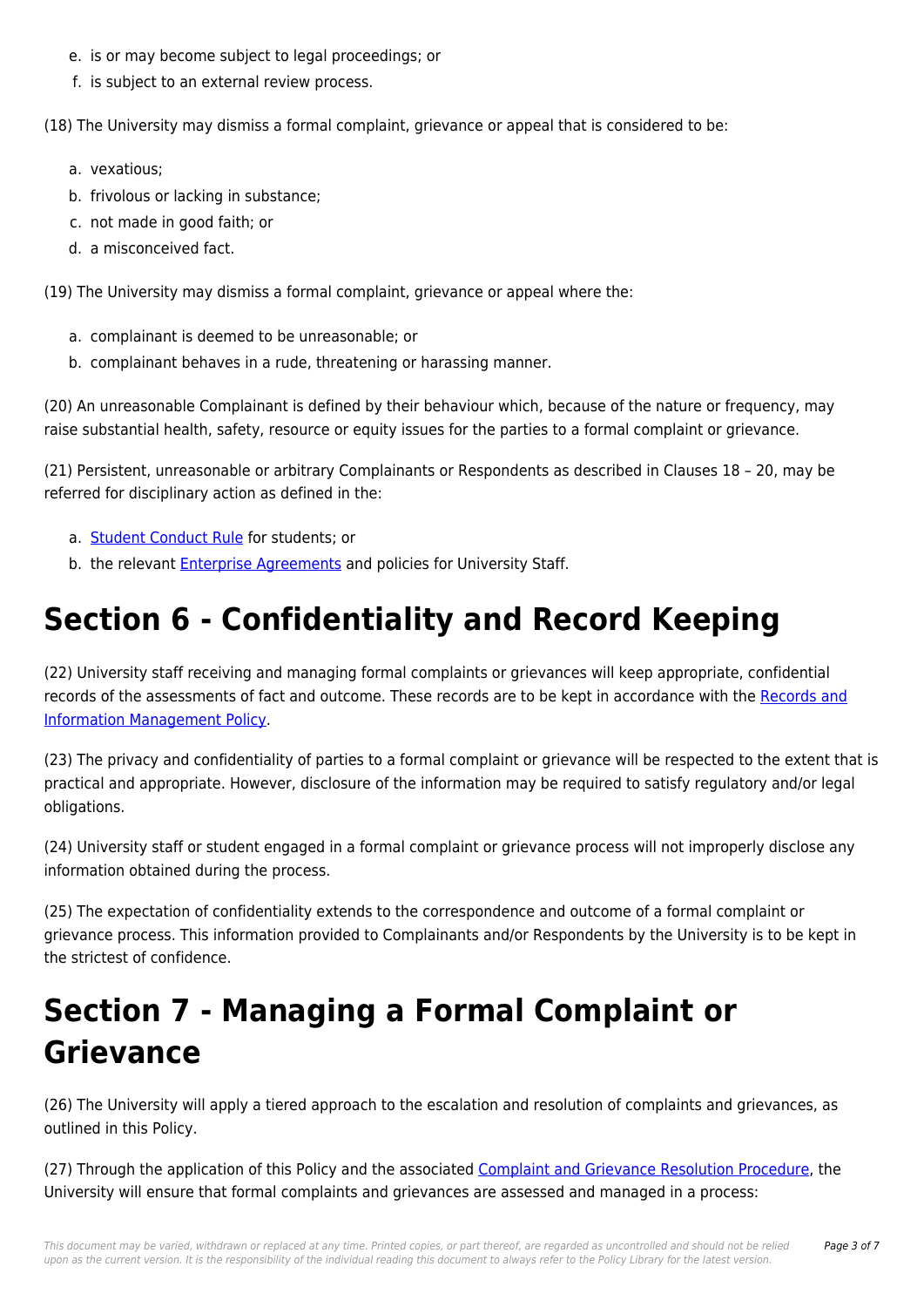- e. is or may become subject to legal proceedings; or
- f. is subject to an external review process.

(18) The University may dismiss a formal complaint, grievance or appeal that is considered to be:

- a. vexatious;
- b. frivolous or lacking in substance;
- c. not made in good faith; or
- d. a misconceived fact.

(19) The University may dismiss a formal complaint, grievance or appeal where the:

- a. complainant is deemed to be unreasonable; or
- b. complainant behaves in a rude, threatening or harassing manner.

(20) An unreasonable Complainant is defined by their behaviour which, because of the nature or frequency, may raise substantial health, safety, resource or equity issues for the parties to a formal complaint or grievance.

(21) Persistent, unreasonable or arbitrary Complainants or Respondents as described in Clauses 18 – 20, may be referred for disciplinary action as defined in the:

- a. [Student Conduct Rule](https://policies.newcastle.edu.au/document/view-current.php?id=34) for students; or
- b. the relevant **Enterprise Agreements** and policies for University Staff.

## **Section 6 - Confidentiality and Record Keeping**

(22) University staff receiving and managing formal complaints or grievances will keep appropriate, confidential records of the assessments of fact and outcome. These records are to be kept in accordance with the [Records and](https://policies.newcastle.edu.au/document/view-current.php?id=81) [Information Management Policy.](https://policies.newcastle.edu.au/document/view-current.php?id=81)

(23) The privacy and confidentiality of parties to a formal complaint or grievance will be respected to the extent that is practical and appropriate. However, disclosure of the information may be required to satisfy regulatory and/or legal obligations.

(24) University staff or student engaged in a formal complaint or grievance process will not improperly disclose any information obtained during the process.

(25) The expectation of confidentiality extends to the correspondence and outcome of a formal complaint or grievance process. This information provided to Complainants and/or Respondents by the University is to be kept in the strictest of confidence.

## **Section 7 - Managing a Formal Complaint or Grievance**

(26) The University will apply a tiered approach to the escalation and resolution of complaints and grievances, as outlined in this Policy.

(27) Through the application of this Policy and the associated [Complaint and Grievance Resolution Procedure,](https://policies.newcastle.edu.au/document/view-current.php?id=197) the University will ensure that formal complaints and grievances are assessed and managed in a process: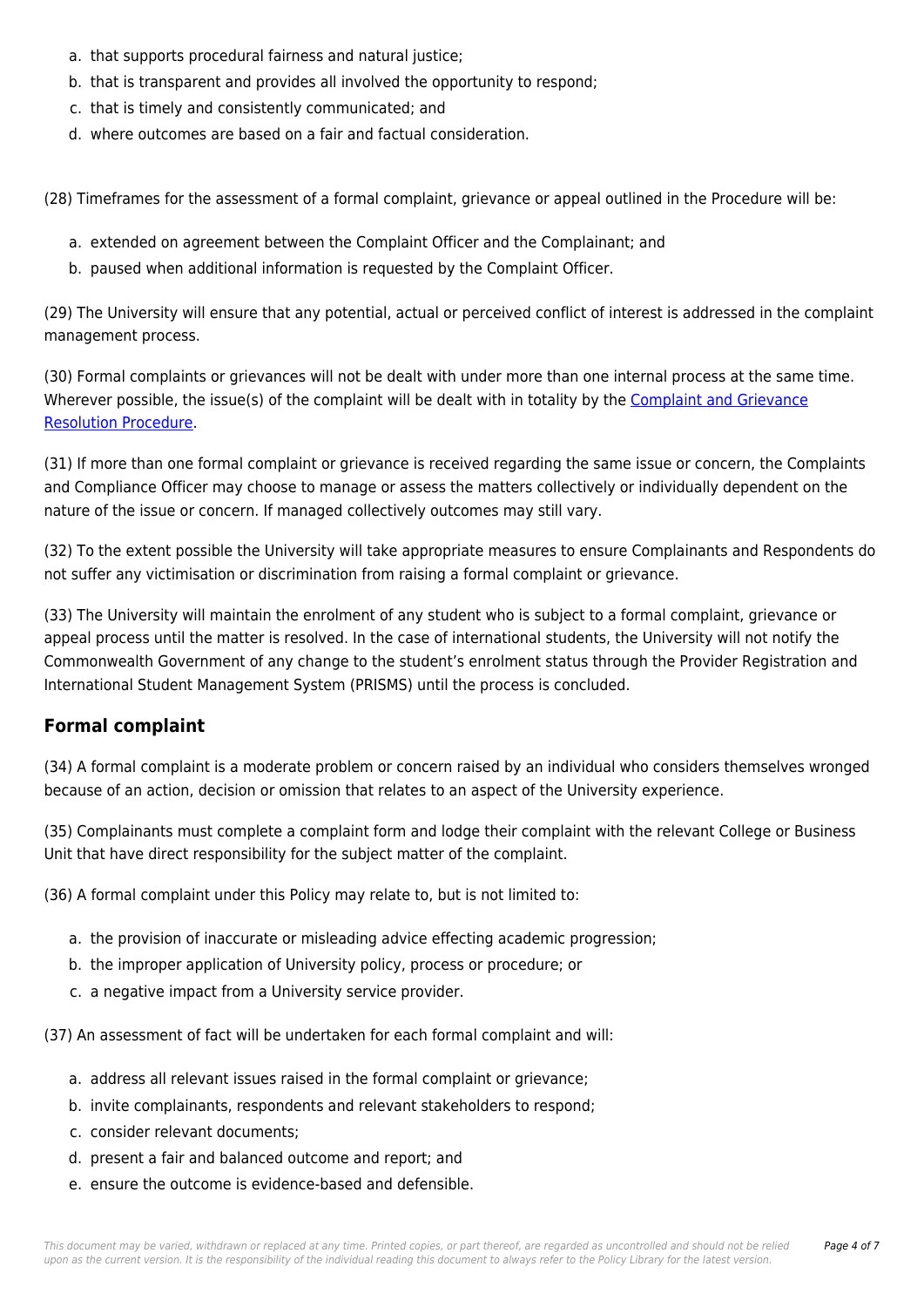- a. that supports procedural fairness and natural justice;
- b. that is transparent and provides all involved the opportunity to respond;
- c. that is timely and consistently communicated; and
- d. where outcomes are based on a fair and factual consideration.

(28) Timeframes for the assessment of a formal complaint, grievance or appeal outlined in the Procedure will be:

- a. extended on agreement between the Complaint Officer and the Complainant; and
- b. paused when additional information is requested by the Complaint Officer.

(29) The University will ensure that any potential, actual or perceived conflict of interest is addressed in the complaint management process.

(30) Formal complaints or grievances will not be dealt with under more than one internal process at the same time. Wherever possible, the issue(s) of the complaint will be dealt with in totality by the [Complaint and Grievance](https://policies.newcastle.edu.au/document/view-current.php?id=197) [Resolution Procedure](https://policies.newcastle.edu.au/document/view-current.php?id=197).

(31) If more than one formal complaint or grievance is received regarding the same issue or concern, the Complaints and Compliance Officer may choose to manage or assess the matters collectively or individually dependent on the nature of the issue or concern. If managed collectively outcomes may still vary.

(32) To the extent possible the University will take appropriate measures to ensure Complainants and Respondents do not suffer any victimisation or discrimination from raising a formal complaint or grievance.

(33) The University will maintain the enrolment of any student who is subject to a formal complaint, grievance or appeal process until the matter is resolved. In the case of international students, the University will not notify the Commonwealth Government of any change to the student's enrolment status through the Provider Registration and International Student Management System (PRISMS) until the process is concluded.

### **Formal complaint**

(34) A formal complaint is a moderate problem or concern raised by an individual who considers themselves wronged because of an action, decision or omission that relates to an aspect of the University experience.

(35) Complainants must complete a complaint form and lodge their complaint with the relevant College or Business Unit that have direct responsibility for the subject matter of the complaint.

(36) A formal complaint under this Policy may relate to, but is not limited to:

- a. the provision of inaccurate or misleading advice effecting academic progression;
- b. the improper application of University policy, process or procedure; or
- c. a negative impact from a University service provider.

(37) An assessment of fact will be undertaken for each formal complaint and will:

- a. address all relevant issues raised in the formal complaint or grievance;
- b. invite complainants, respondents and relevant stakeholders to respond;
- c. consider relevant documents;
- d. present a fair and balanced outcome and report; and
- e. ensure the outcome is evidence-based and defensible.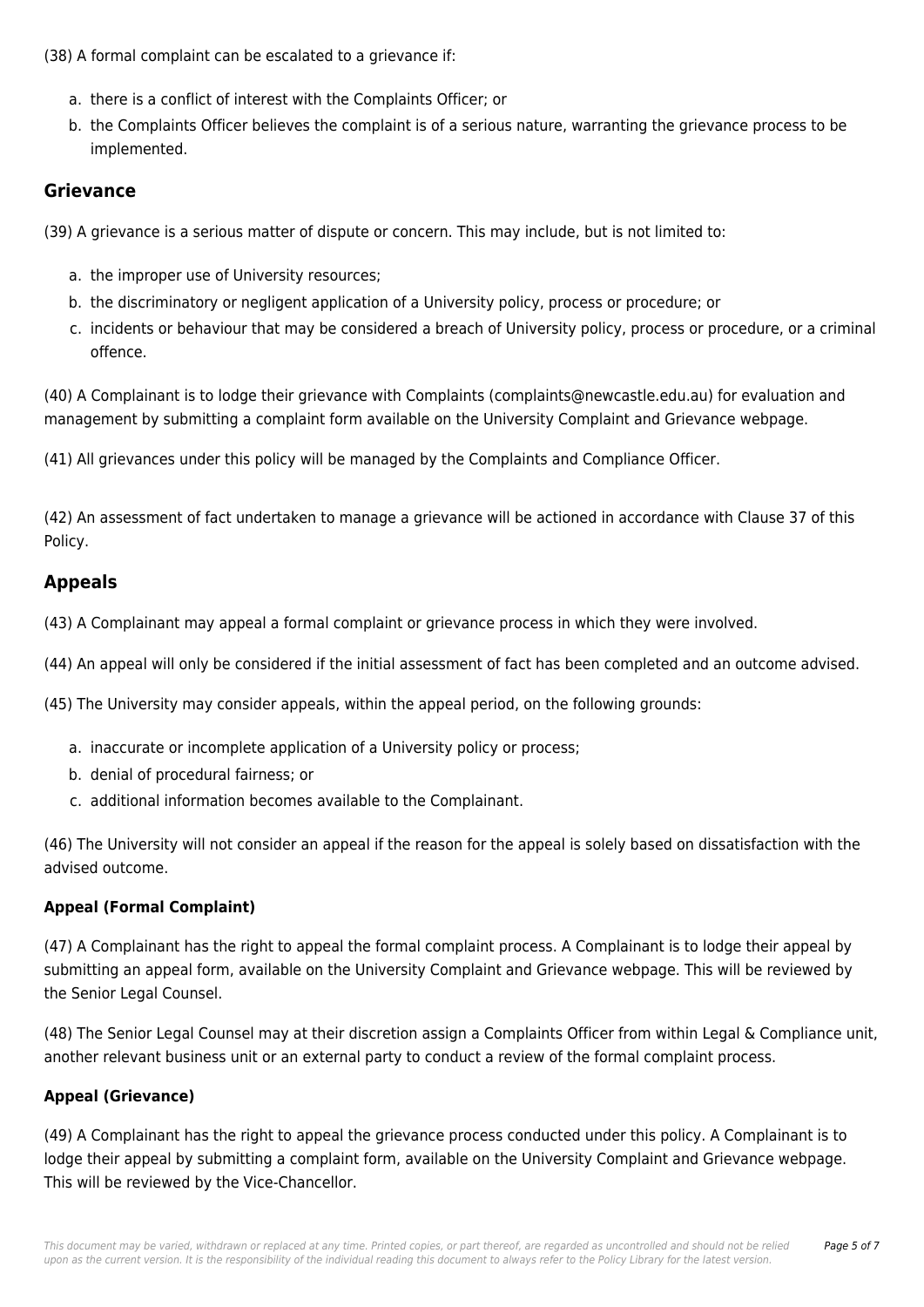(38) A formal complaint can be escalated to a grievance if:

- a. there is a conflict of interest with the Complaints Officer; or
- b. the Complaints Officer believes the complaint is of a serious nature, warranting the grievance process to be implemented.

#### **Grievance**

(39) A grievance is a serious matter of dispute or concern. This may include, but is not limited to:

- a. the improper use of University resources;
- b. the discriminatory or negligent application of a University policy, process or procedure; or
- c. incidents or behaviour that may be considered a breach of University policy, process or procedure, or a criminal offence.

(40) A Complainant is to lodge their grievance with Complaints (complaints@newcastle.edu.au) for evaluation and management by submitting a complaint form available on the University Complaint and Grievance webpage.

(41) All grievances under this policy will be managed by the Complaints and Compliance Officer.

(42) An assessment of fact undertaken to manage a grievance will be actioned in accordance with Clause 37 of this Policy.

### **Appeals**

(43) A Complainant may appeal a formal complaint or grievance process in which they were involved.

(44) An appeal will only be considered if the initial assessment of fact has been completed and an outcome advised.

(45) The University may consider appeals, within the appeal period, on the following grounds:

- a. inaccurate or incomplete application of a University policy or process;
- b. denial of procedural fairness; or
- c. additional information becomes available to the Complainant.

(46) The University will not consider an appeal if the reason for the appeal is solely based on dissatisfaction with the advised outcome.

#### **Appeal (Formal Complaint)**

(47) A Complainant has the right to appeal the formal complaint process. A Complainant is to lodge their appeal by submitting an appeal form, available on the University Complaint and Grievance webpage. This will be reviewed by the Senior Legal Counsel.

(48) The Senior Legal Counsel may at their discretion assign a Complaints Officer from within Legal & Compliance unit, another relevant business unit or an external party to conduct a review of the formal complaint process.

#### **Appeal (Grievance)**

(49) A Complainant has the right to appeal the grievance process conducted under this policy. A Complainant is to lodge their appeal by submitting a complaint form, available on the University Complaint and Grievance webpage. This will be reviewed by the Vice-Chancellor.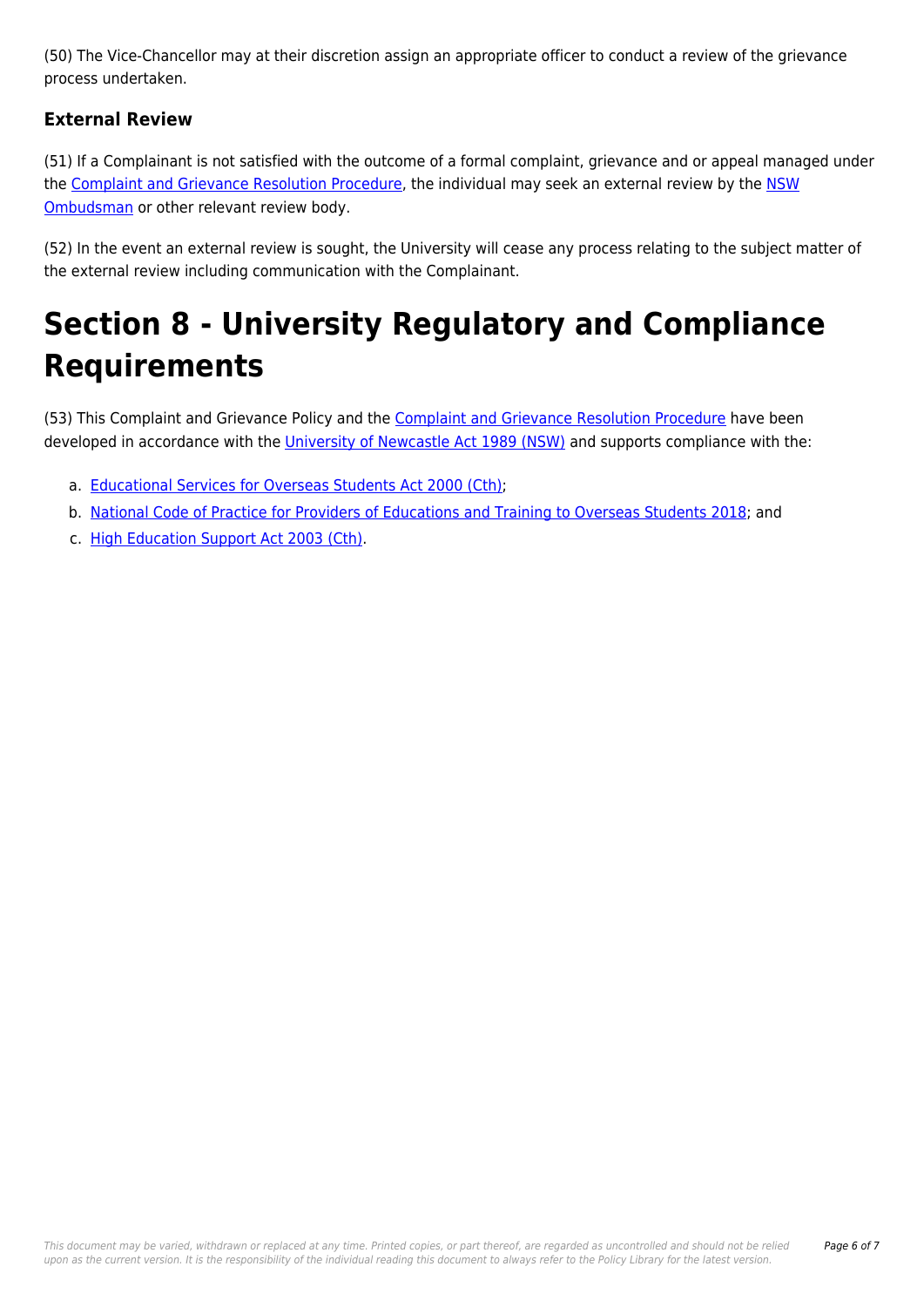(50) The Vice-Chancellor may at their discretion assign an appropriate officer to conduct a review of the grievance process undertaken.

### **External Review**

(51) If a Complainant is not satisfied with the outcome of a formal complaint, grievance and or appeal managed under the [Complaint and Grievance Resolution Procedure](https://policies.newcastle.edu.au/document/view-current.php?id=197), the individual may seek an external review by the [NSW](http://policies.newcastle.edu.au/download.php?id=40&version=2&associated) [Ombudsman](http://policies.newcastle.edu.au/download.php?id=40&version=2&associated) or other relevant review body.

(52) In the event an external review is sought, the University will cease any process relating to the subject matter of the external review including communication with the Complainant.

# **Section 8 - University Regulatory and Compliance Requirements**

(53) This Complaint and Grievance Policy and the [Complaint and Grievance Resolution Procedure](https://policies.newcastle.edu.au/document/view-current.php?id=197) have been developed in accordance with the *[University of Newcastle Act 1989 \(NSW\)](https://policies.newcastle.edu.au/directory-summary.php?legislation=17)* and supports compliance with the:

- a. [Educational Services for Overseas Students Act 2000 \(Cth\);](https://policies.newcastle.edu.au/directory-summary.php?legislation=12)
- b. [National Code of Practice for Providers of Educations and Training to Overseas Students 2018](https://policies.newcastle.edu.au/directory-summary.php?code=2); and
- c. [High Education Support Act 2003 \(Cth\).](https://policies.newcastle.edu.au/directory-summary.php?legislation=38)